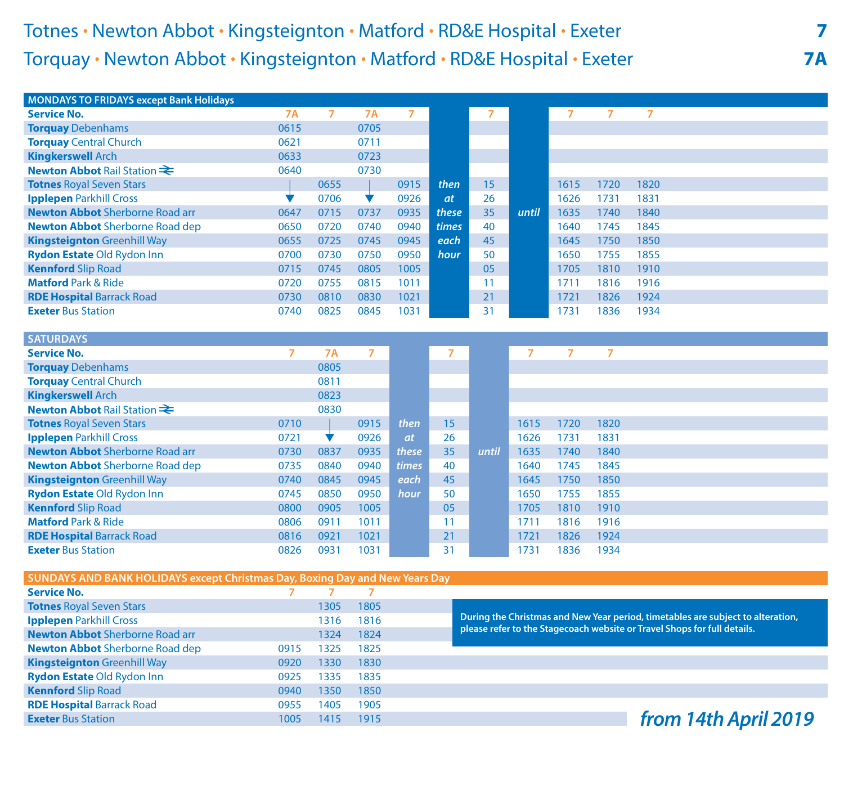## Totnes **.** Newton Abbot **.** Kingsteignton **.** Matford **.** RD&E Hospital **.** Exeter **7** Torquay **.** Newton Abbot **.** Kingsteignton **.** Matford **.** RD&E Hospital **.** Exeter **7A**

**Kennford** Slip Road **1350 1850 RDE Hospital Barrack Road 0955 1405 1905** 

| <b>MONDAYS TO FRIDAYS except Bank Holidays</b>                               |                |                |                |           |                |                                                                                                                                                             |                |                |                |                |  |  |  |  |  |
|------------------------------------------------------------------------------|----------------|----------------|----------------|-----------|----------------|-------------------------------------------------------------------------------------------------------------------------------------------------------------|----------------|----------------|----------------|----------------|--|--|--|--|--|
| <b>Service No.</b>                                                           | <b>7A</b>      | $\overline{7}$ | <b>7A</b>      | 7         |                | 7                                                                                                                                                           |                | 7              | $\overline{7}$ | $\overline{7}$ |  |  |  |  |  |
| <b>Torquay Debenhams</b>                                                     | 0615           |                | 0705           |           |                |                                                                                                                                                             |                |                |                |                |  |  |  |  |  |
| <b>Torquay Central Church</b>                                                | 0621           |                | 0711           |           |                |                                                                                                                                                             |                |                |                |                |  |  |  |  |  |
| <b>Kingkerswell Arch</b>                                                     | 0633           |                | 0723           |           |                |                                                                                                                                                             |                |                |                |                |  |  |  |  |  |
| <b>Newton Abbot Rail Station ₹</b>                                           | 0640           |                | 0730           |           |                |                                                                                                                                                             |                |                |                |                |  |  |  |  |  |
| <b>Totnes Royal Seven Stars</b>                                              |                | 0655           |                | 0915      | then           | 15                                                                                                                                                          |                | 1615           | 1720           | 1820           |  |  |  |  |  |
| <b>Ipplepen Parkhill Cross</b>                                               | v              | 0706           | ▼              | 0926      | <i>at</i>      | 26                                                                                                                                                          |                | 1626           | 1731           | 1831           |  |  |  |  |  |
| <b>Newton Abbot</b> Sherborne Road arr                                       | 0647           | 0715           | 0737           | 0935      | these          | 35                                                                                                                                                          | until          | 1635           | 1740           | 1840           |  |  |  |  |  |
| <b>Newton Abbot</b> Sherborne Road dep                                       | 0650           | 0720           | 0740           | 0940      | times          | 40                                                                                                                                                          |                | 1640           | 1745           | 1845           |  |  |  |  |  |
| <b>Kingsteignton Greenhill Way</b>                                           | 0655           | 0725           | 0745           | 0945      | each           | 45                                                                                                                                                          |                | 1645           | 1750           | 1850           |  |  |  |  |  |
| Rydon Estate Old Rydon Inn                                                   | 0700           | 0730           | 0750           | 0950      | hour           | 50                                                                                                                                                          |                | 1650           | 1755           | 1855           |  |  |  |  |  |
| <b>Kennford Slip Road</b>                                                    | 0715           | 0745           | 0805           | 1005      |                | 05                                                                                                                                                          |                | 1705           | 1810           | 1910           |  |  |  |  |  |
| <b>Matford Park &amp; Ride</b>                                               | 0720           | 0755           | 0815           | 1011      |                | 11                                                                                                                                                          |                | 1711           | 1816           | 1916           |  |  |  |  |  |
| <b>RDE Hospital Barrack Road</b>                                             | 0730           | 0810           | 0830           | 1021      |                | 21                                                                                                                                                          |                | 1721           | 1826           | 1924           |  |  |  |  |  |
| <b>Exeter Bus Station</b>                                                    | 0740           | 0825           | 0845           | 1031      |                | 31                                                                                                                                                          |                | 1731           | 1836           | 1934           |  |  |  |  |  |
|                                                                              |                |                |                |           |                |                                                                                                                                                             |                |                |                |                |  |  |  |  |  |
| <b>SATURDAYS</b>                                                             |                |                |                |           |                |                                                                                                                                                             |                |                |                |                |  |  |  |  |  |
| <b>Service No.</b>                                                           | $\overline{7}$ | <b>7A</b>      | $\overline{7}$ |           | $\overline{7}$ |                                                                                                                                                             | $\overline{7}$ | $\overline{7}$ | 7              |                |  |  |  |  |  |
| <b>Torquay Debenhams</b>                                                     |                | 0805           |                |           |                |                                                                                                                                                             |                |                |                |                |  |  |  |  |  |
| <b>Torquay Central Church</b>                                                |                | 0811           |                |           |                |                                                                                                                                                             |                |                |                |                |  |  |  |  |  |
| <b>Kingkerswell Arch</b>                                                     |                | 0823           |                |           |                |                                                                                                                                                             |                |                |                |                |  |  |  |  |  |
| <b>Newton Abbot Rail Station ₹</b>                                           |                | 0830           |                |           |                |                                                                                                                                                             |                |                |                |                |  |  |  |  |  |
| <b>Totnes Royal Seven Stars</b>                                              | 0710           |                | 0915           | then      | 15             |                                                                                                                                                             | 1615           | 1720           | 1820           |                |  |  |  |  |  |
| <b>Ipplepen Parkhill Cross</b>                                               | 0721           | V              | 0926           | <i>at</i> | 26             |                                                                                                                                                             | 1626           | 1731           | 1831           |                |  |  |  |  |  |
| <b>Newton Abbot</b> Sherborne Road arr                                       | 0730           | 0837           | 0935           | these     | 35             | until                                                                                                                                                       | 1635           | 1740           | 1840           |                |  |  |  |  |  |
| <b>Newton Abbot</b> Sherborne Road dep                                       | 0735           | 0840           | 0940           | times     | 40             |                                                                                                                                                             | 1640           | 1745           | 1845           |                |  |  |  |  |  |
| <b>Kingsteignton</b> Greenhill Way                                           | 0740           | 0845           | 0945           | each      | 45             |                                                                                                                                                             | 1645           | 1750           | 1850           |                |  |  |  |  |  |
| <b>Rydon Estate Old Rydon Inn</b>                                            | 0745           | 0850           | 0950           | hour      | 50             |                                                                                                                                                             | 1650           | 1755           | 1855           |                |  |  |  |  |  |
| <b>Kennford Slip Road</b>                                                    | 0800           | 0905           | 1005           |           | 05             |                                                                                                                                                             | 1705           | 1810           | 1910           |                |  |  |  |  |  |
| <b>Matford Park &amp; Ride</b>                                               | 0806           | 0911           | 1011           |           | 11             |                                                                                                                                                             | 1711           | 1816           | 1916           |                |  |  |  |  |  |
| <b>RDE Hospital Barrack Road</b>                                             | 0816           | 0921           | 1021           |           | 21             |                                                                                                                                                             | 1721           | 1826           | 1924           |                |  |  |  |  |  |
| <b>Exeter Bus Station</b>                                                    | 0826           | 0931           | 1031           |           | 31             |                                                                                                                                                             | 1731           | 1836           | 1934           |                |  |  |  |  |  |
|                                                                              |                |                |                |           |                |                                                                                                                                                             |                |                |                |                |  |  |  |  |  |
| SUNDAYS AND BANK HOLIDAYS except Christmas Day, Boxing Day and New Years Day |                |                |                |           |                |                                                                                                                                                             |                |                |                |                |  |  |  |  |  |
| <b>Service No.</b>                                                           | 7              | $\overline{7}$ | $\overline{7}$ |           |                |                                                                                                                                                             |                |                |                |                |  |  |  |  |  |
| <b>Totnes Royal Seven Stars</b>                                              |                | 1305           | 1805           |           |                |                                                                                                                                                             |                |                |                |                |  |  |  |  |  |
| <b>Ipplepen Parkhill Cross</b>                                               |                | 1316           | 1816           |           |                | During the Christmas and New Year period, timetables are subject to alteration,<br>please refer to the Stagecoach website or Travel Shops for full details. |                |                |                |                |  |  |  |  |  |
| <b>Newton Abbot</b> Sherborne Road arr                                       |                | 1324           | 1824           |           |                |                                                                                                                                                             |                |                |                |                |  |  |  |  |  |
| <b>Newton Abbot</b> Sherborne Road dep                                       | 0915           | 1325           | 1825           |           |                |                                                                                                                                                             |                |                |                |                |  |  |  |  |  |
| <b>Kingsteignton Greenhill Way</b>                                           | 0920           | 1330           | 1830           |           |                |                                                                                                                                                             |                |                |                |                |  |  |  |  |  |
| <b>Rydon Estate Old Rydon Inn</b>                                            | 0925           | 1335           | 1835           |           |                |                                                                                                                                                             |                |                |                |                |  |  |  |  |  |

**Exeter Bus Station Exeter Bus Station Exeter Bus Station** *from 14th April 2019*